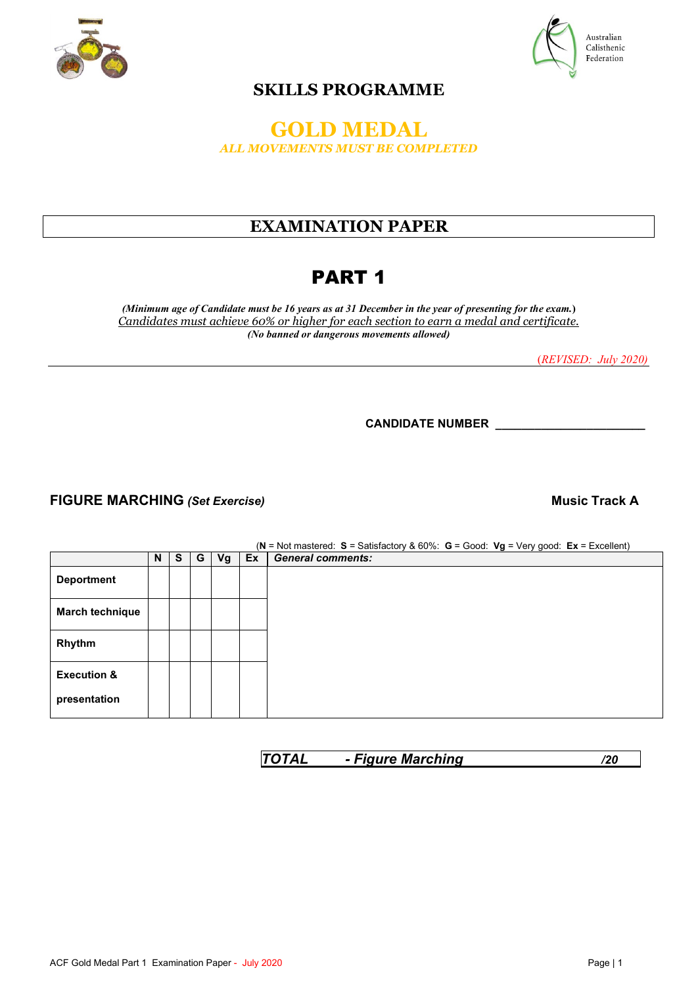



### **SKILLS PROGRAMME**

### **GOLD MEDAL** *ALL MOVEMENTS MUST BE COMPLETED*

## **EXAMINATION PAPER**

# PART 1

*(Minimum age of Candidate must be 16 years as at 31 December in the year of presenting for the exam.***)** *Candidates must achieve 60% or higher for each section to earn a medal and certificate. (No banned or dangerous movements allowed)* 

(*REVISED: July 2020)*

**CANDIDATE NUMBER \_\_\_\_\_\_\_\_\_\_\_\_\_\_\_\_\_\_\_\_\_\_\_**

### **FIGURE MARCHING** *(Set Exercise)* **Music Track A**

 $N \mid S \mid G \mid Vg \mid Ex \mid$  **General comments:**<br> **C**  $N \mid S \mid G \mid Vg \mid Ex \mid$  **General comments:**  $General comments:$ **Deportment March technique Rhythm Execution & presentation**

*TOTAL - Figure Marching /20*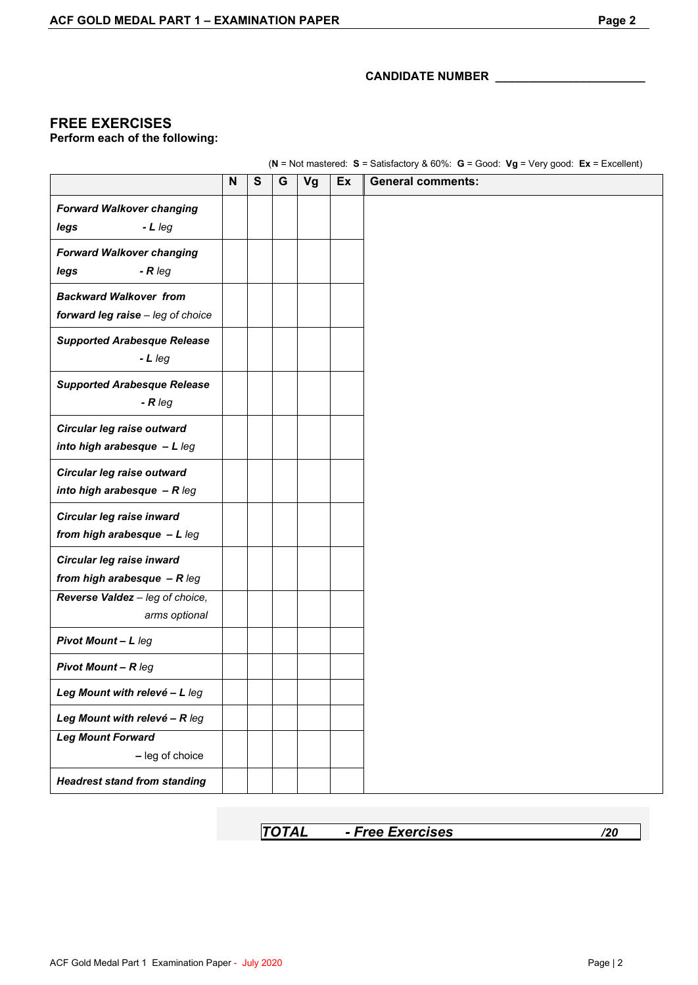### **FREE EXERCISES**

**Perform each of the following:**

(**N** = Not mastered: **S** = Satisfactory & 60%: **G** = Good: **Vg** = Very good: **Ex** = Excellent)

|                                                                      | N | $\mathbf{s}$ | G | Vg | Ex | <b>General comments:</b> |
|----------------------------------------------------------------------|---|--------------|---|----|----|--------------------------|
| <b>Forward Walkover changing</b><br>$-L$ leg<br>legs                 |   |              |   |    |    |                          |
| <b>Forward Walkover changing</b><br>legs<br>$-R \, leg$              |   |              |   |    |    |                          |
| <b>Backward Walkover from</b><br>forward leg raise - leg of choice   |   |              |   |    |    |                          |
| <b>Supported Arabesque Release</b><br>$-Lleg$                        |   |              |   |    |    |                          |
| <b>Supported Arabesque Release</b><br>$-R \, \text{leg}$             |   |              |   |    |    |                          |
| Circular leg raise outward<br>into high arabesque $-L$ leg           |   |              |   |    |    |                          |
| Circular leg raise outward<br>into high arabesque $-R \, \text{leg}$ |   |              |   |    |    |                          |
| Circular leg raise inward<br>from high arabesque $-L$ leg            |   |              |   |    |    |                          |
| Circular leg raise inward<br>from high arabesque $-R \, \text{leg}$  |   |              |   |    |    |                          |
| Reverse Valdez - leg of choice,<br>arms optional                     |   |              |   |    |    |                          |
| Pivot Mount - L leg                                                  |   |              |   |    |    |                          |
| <b>Pivot Mount - R leg</b>                                           |   |              |   |    |    |                          |
| Leg Mount with relevé - L leg                                        |   |              |   |    |    |                          |
| Leg Mount with relevé - R leg                                        |   |              |   |    |    |                          |
| <b>Leg Mount Forward</b><br>- leg of choice                          |   |              |   |    |    |                          |
| <b>Headrest stand from standing</b>                                  |   |              |   |    |    |                          |

| <b>TOTAL</b><br>- Free Exercises |  |
|----------------------------------|--|
|----------------------------------|--|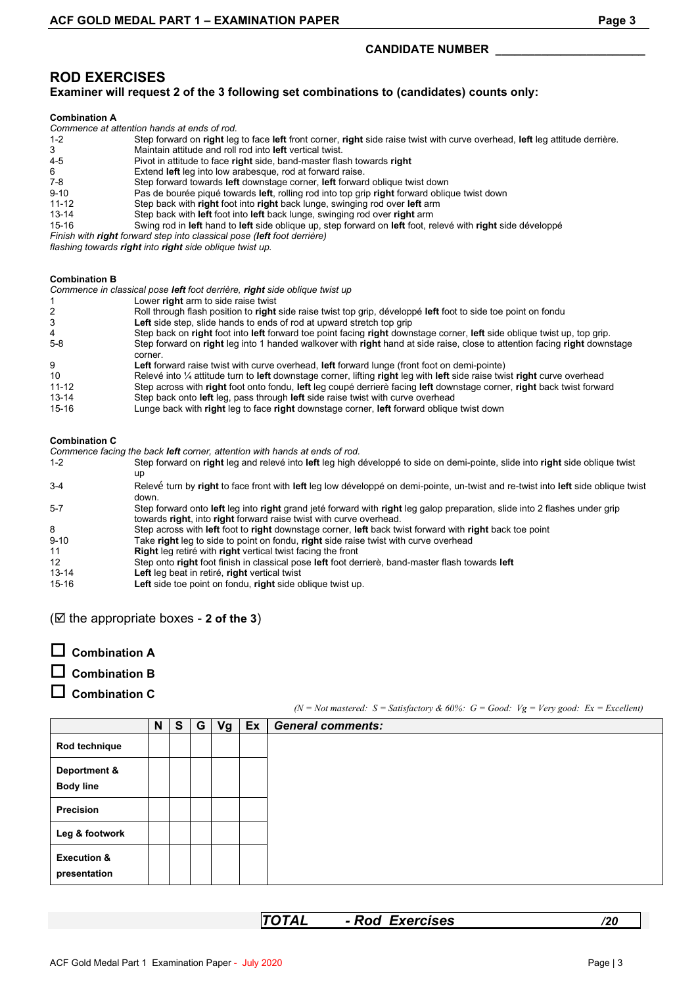### **ROD EXERCISES**

#### **Examiner will request 2 of the 3 following set combinations to (candidates) counts only:**

#### **Combination A**

|                                                                         | Commence at attention hands at ends of rod.                                                                                  |  |  |  |  |  |
|-------------------------------------------------------------------------|------------------------------------------------------------------------------------------------------------------------------|--|--|--|--|--|
| $1 - 2$                                                                 | Step forward on right leg to face left front corner, right side raise twist with curve overhead, left leg attitude derrière. |  |  |  |  |  |
| 3                                                                       | Maintain attitude and roll rod into <b>left</b> vertical twist.                                                              |  |  |  |  |  |
| $4 - 5$                                                                 | Pivot in attitude to face right side, band-master flash towards right                                                        |  |  |  |  |  |
| 6                                                                       | Extend left leg into low arabesque, rod at forward raise.                                                                    |  |  |  |  |  |
| $7-8$                                                                   | Step forward towards left downstage corner, left forward oblique twist down                                                  |  |  |  |  |  |
| $9 - 10$                                                                | Pas de bourée piqué towards left, rolling rod into top grip right forward oblique twist down                                 |  |  |  |  |  |
| $11 - 12$                                                               | Step back with right foot into right back lunge, swinging rod over left arm                                                  |  |  |  |  |  |
| $13 - 14$                                                               | Step back with left foot into left back lunge, swinging rod over right arm                                                   |  |  |  |  |  |
| 15-16                                                                   | Swing rod in left hand to left side oblique up, step forward on left foot, relevé with right side développé                  |  |  |  |  |  |
| Finish with right forward step into classical pose (left foot derrière) |                                                                                                                              |  |  |  |  |  |

*flashing towards right into right side oblique twist up.*

#### **Combination B**

|           | Commence in classical pose left foot derrière, right side oblique twist up                                                          |
|-----------|-------------------------------------------------------------------------------------------------------------------------------------|
|           | Lower right arm to side raise twist                                                                                                 |
|           | Roll through flash position to right side raise twist top grip, développé left foot to side toe point on fondu                      |
|           | <b>Left</b> side step, slide hands to ends of rod at upward stretch top grip                                                        |
| 4         | Step back on right foot into left forward toe point facing right downstage corner. left side oblique twist up, top grip.            |
| $5-8$     | Step forward on right leg into 1 handed walkover with right hand at side raise, close to attention facing right downstage           |
|           | corner.                                                                                                                             |
| 9         | Left forward raise twist with curve overhead, left forward lunge (front foot on demi-pointe)                                        |
| 10        | Relevé into $\frac{1}{4}$ attitude turn to left downstage corner, lifting right leg with left side raise twist right curve overhead |
| $11 - 12$ | Step across with right foot onto fondu, left leg coupé derrierè facing left downstage corner, right back twist forward              |
| $13 - 14$ | Step back onto left leg, pass through left side raise twist with curve overhead                                                     |
| 15-16     | Lunge back with <b>right</b> leg to face right downstage corner, left forward obligue twist down                                    |

#### **Combination C**

|          | Commence facing the back <b>left</b> corner, attention with hands at ends of rod.                                                                                                                |
|----------|--------------------------------------------------------------------------------------------------------------------------------------------------------------------------------------------------|
| $1 - 2$  | Step forward on right leg and relevé into left leg high développé to side on demi-pointe, slide into right side oblique twist                                                                    |
|          | up                                                                                                                                                                                               |
| $3-4$    | Relevé turn by right to face front with left leg low développé on demi-pointe, un-twist and re-twist into left side oblique twist<br>down.                                                       |
| $5 - 7$  | Step forward onto left leg into right grand jeté forward with right leg galop preparation, slide into 2 flashes under grip<br>towards right, into right forward raise twist with curve overhead. |
| 8        | Step across with left foot to right downstage corner, left back twist forward with right back toe point                                                                                          |
| $9 - 10$ | Take right leg to side to point on fondu, right side raise twist with curve overhead                                                                                                             |
| 11       | <b>Right</b> leg retiré with right vertical twist facing the front                                                                                                                               |
| $12 \,$  | Step onto right foot finish in classical pose left foot derriere, band-master flash towards left                                                                                                 |
| 13-14    | Left leg beat in retiré, right vertical twist                                                                                                                                                    |
| 15-16    | Left side toe point on fondu, right side oblique twist up.                                                                                                                                       |

#### ( $\boxtimes$  the appropriate boxes - 2 of the 3)

**Combination A**

### **Combination B**

**Combination C**

*(N = Not mastered: S = Satisfactory & 60%: G = Good: Vg = Very good: Ex = Excellent)*

|                                        | N | S | G | $Vg$ Ex | <b>General comments:</b> |  |
|----------------------------------------|---|---|---|---------|--------------------------|--|
| Rod technique                          |   |   |   |         |                          |  |
| Deportment &<br><b>Body line</b>       |   |   |   |         |                          |  |
| Precision                              |   |   |   |         |                          |  |
| Leg & footwork                         |   |   |   |         |                          |  |
| <b>Execution &amp;</b><br>presentation |   |   |   |         |                          |  |

*TOTAL - Rod Exercises /20*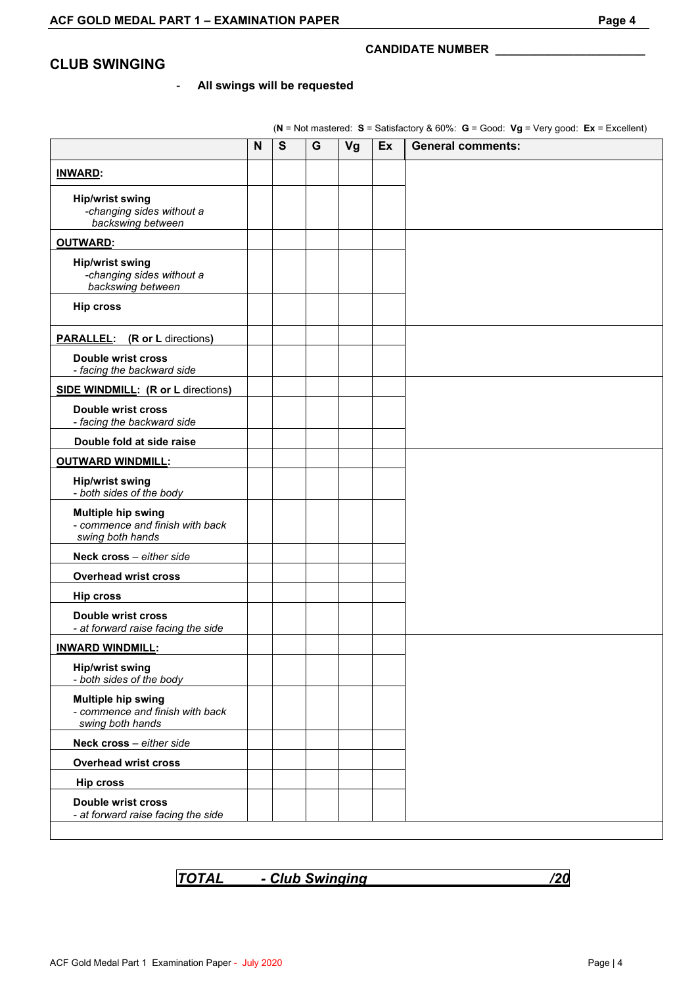### **CLUB SWINGING**

#### - **All swings will be requested**

|                                                                                  | N | S | G | Vg | Ex | <b>General comments:</b> |
|----------------------------------------------------------------------------------|---|---|---|----|----|--------------------------|
| <b>INWARD:</b>                                                                   |   |   |   |    |    |                          |
| <b>Hip/wrist swing</b><br>-changing sides without a<br>backswing between         |   |   |   |    |    |                          |
| <b>OUTWARD:</b>                                                                  |   |   |   |    |    |                          |
| <b>Hip/wrist swing</b><br>-changing sides without a<br>backswing between         |   |   |   |    |    |                          |
| <b>Hip cross</b>                                                                 |   |   |   |    |    |                          |
| <b>PARALLEL:</b> (R or L directions)                                             |   |   |   |    |    |                          |
| <b>Double wrist cross</b><br>- facing the backward side                          |   |   |   |    |    |                          |
| <b>SIDE WINDMILL: (R or L directions)</b>                                        |   |   |   |    |    |                          |
| <b>Double wrist cross</b><br>- facing the backward side                          |   |   |   |    |    |                          |
| Double fold at side raise                                                        |   |   |   |    |    |                          |
| <b>OUTWARD WINDMILL:</b>                                                         |   |   |   |    |    |                          |
| <b>Hip/wrist swing</b><br>- both sides of the body                               |   |   |   |    |    |                          |
| <b>Multiple hip swing</b><br>- commence and finish with back<br>swing both hands |   |   |   |    |    |                          |
| Neck cross - either side                                                         |   |   |   |    |    |                          |
| <b>Overhead wrist cross</b>                                                      |   |   |   |    |    |                          |
| <b>Hip cross</b>                                                                 |   |   |   |    |    |                          |
| <b>Double wrist cross</b><br>- at forward raise facing the side                  |   |   |   |    |    |                          |
| <b>INWARD WINDMILL:</b>                                                          |   |   |   |    |    |                          |
| <b>Hip/wrist swing</b><br>- both sides of the body                               |   |   |   |    |    |                          |
| <b>Multiple hip swing</b><br>- commence and finish with back<br>swing both hands |   |   |   |    |    |                          |
| Neck cross - either side                                                         |   |   |   |    |    |                          |
| <b>Overhead wrist cross</b>                                                      |   |   |   |    |    |                          |
| <b>Hip cross</b>                                                                 |   |   |   |    |    |                          |
| <b>Double wrist cross</b><br>- at forward raise facing the side                  |   |   |   |    |    |                          |

(**N** = Not mastered: **S** = Satisfactory & 60%: **G** = Good: **Vg** = Very good: **Ex** = Excellent)

*TOTAL - Club Swinging /20*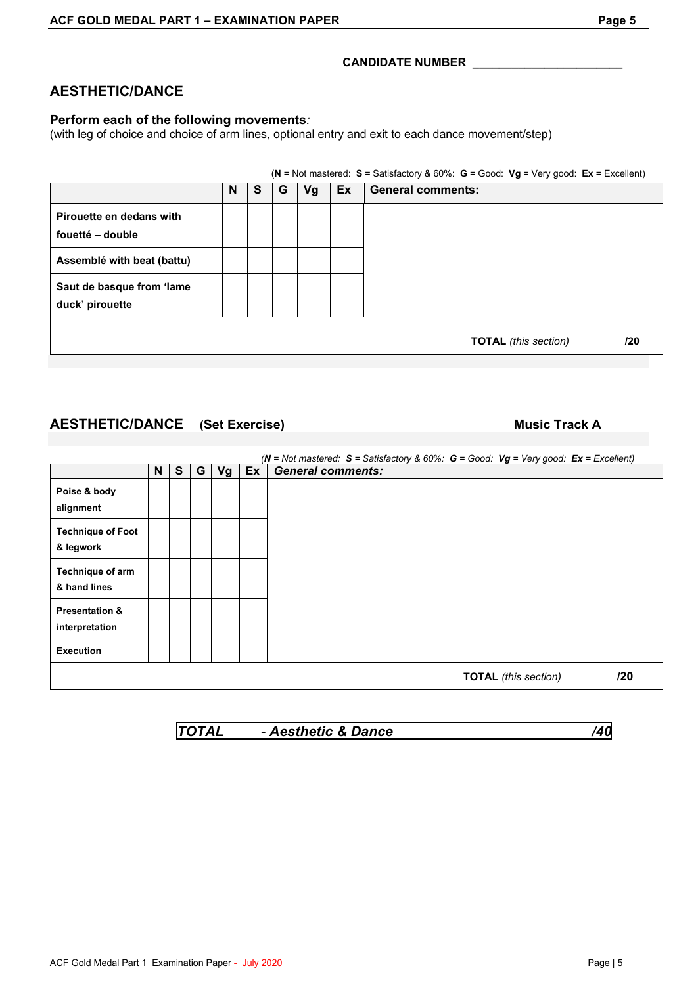### **AESTHETIC/DANCE**

#### **Perform each of the following movements***:*

(with leg of choice and choice of arm lines, optional entry and exit to each dance movement/step)

|                                              |   |   |   |    |    | $(N = Not$ mastered: S = Satisfactory & 60%: G = Good: Vg = Very good: Ex = Excellent) |
|----------------------------------------------|---|---|---|----|----|----------------------------------------------------------------------------------------|
|                                              | N | S | G | Vg | Ex | <b>General comments:</b>                                                               |
| Pirouette en dedans with<br>fouetté - double |   |   |   |    |    |                                                                                        |
| Assemblé with beat (battu)                   |   |   |   |    |    |                                                                                        |
| Saut de basque from 'lame<br>duck' pirouette |   |   |   |    |    |                                                                                        |
|                                              |   |   |   |    |    | <b>TOTAL</b> (this section)<br>/20                                                     |

### **AESTHETIC/DANCE (Set Exercise) Music Track A**

|                                             |   |    |   |    |    | ( $N = Not$ mastered: $S =$ Satisfactory & 60%: $G =$ Good: $Vg = Very$ good: $Ex =$ Excellent) |
|---------------------------------------------|---|----|---|----|----|-------------------------------------------------------------------------------------------------|
|                                             | N | S. | G | Vg | Ex | <b>General comments:</b>                                                                        |
| Poise & body<br>alignment                   |   |    |   |    |    |                                                                                                 |
| <b>Technique of Foot</b><br>& legwork       |   |    |   |    |    |                                                                                                 |
| Technique of arm<br>& hand lines            |   |    |   |    |    |                                                                                                 |
| <b>Presentation &amp;</b><br>interpretation |   |    |   |    |    |                                                                                                 |
| <b>Execution</b>                            |   |    |   |    |    |                                                                                                 |
|                                             |   |    |   |    |    | /20<br><b>TOTAL</b> (this section)                                                              |

*TOTAL - Aesthetic & Dance /40*